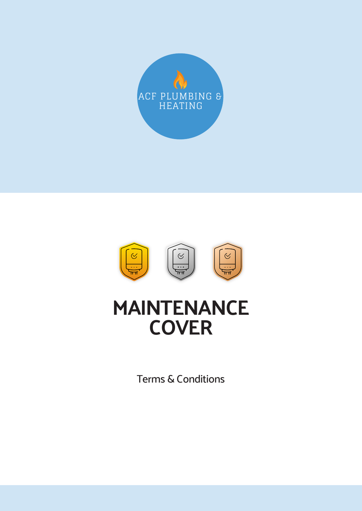



# **MAINTENANCE COVER**

Terms & Conditions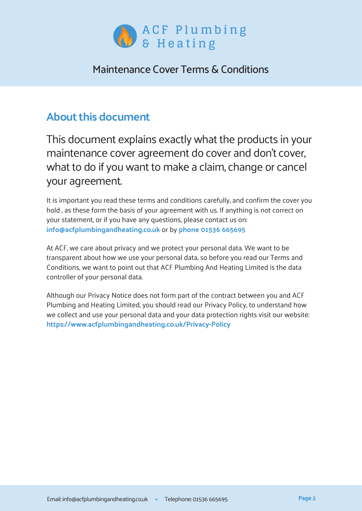

### **About this document**

This document explains exactly what the products in your maintenance cover agreement do cover and don't cover, what to do if you want to make a claim, change or cancel your agreement.

It is important you read these terms and conditions carefully, and confirm the cover you hold , as these form the basis of your agreement with us. If anything is not correct on your statement, or if you have any questions, please contact us on: **info@acfplumbingandheating.co.uk** or by **phone 01536 665695**

At ACF, we care about privacy and we protect your personal data. We want to be transparent about how we use your personal data, so before you read our Terms and Conditions, we want to point out that ACF Plumbing And Heating Limited is the data controller of your personal data.

Although our Privacy Notice does not form part of the contract between you and ACF Plumbing and Heating Limited, you should read our Privacy Policy, to understand how we collect and use your personal data and your data protection rights visit our website: **https://www.acfplumbingandheating.co.uk/Privacy-Policy**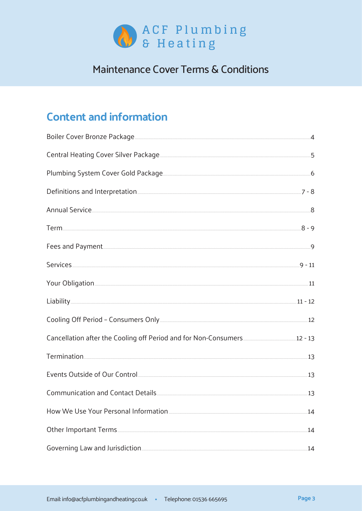

# **Content and information**

| Plumbing System Cover Gold Package 6 and 200 million by the System Cover Gold Package                          |     |
|----------------------------------------------------------------------------------------------------------------|-----|
|                                                                                                                |     |
| Annual Service 8                                                                                               |     |
|                                                                                                                |     |
| Fees and Payment 9                                                                                             |     |
|                                                                                                                |     |
| Your Obligation 11                                                                                             |     |
| $Liability$ $11 - 12$                                                                                          |     |
|                                                                                                                |     |
| Cancellation after the Cooling off Period and for Non-Consumers [1984] 12-13                                   |     |
| Termination <sub>11</sub> 3                                                                                    |     |
|                                                                                                                |     |
|                                                                                                                | 13  |
|                                                                                                                | 14  |
| Other Important Terms                                                                                          | .14 |
| Governing Law and Jurisdiction [19] The Coverning Law and Jurisdiction [19] The Coverning Law and Jurisdiction | 14  |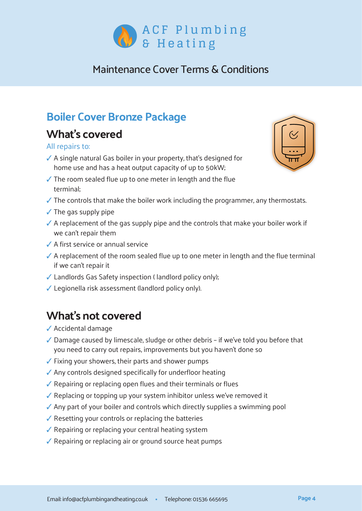

# **Boiler Cover Bronze Package**

# **What's covered**

#### All repairs to:

- $\checkmark$  A single natural Gas boiler in your property, that's designed for home use and has a heat output capacity of up to 50kW;
- $\sqrt{\ }$  The room sealed flue up to one meter in length and the flue terminal;
- $\checkmark$  The controls that make the boiler work including the programmer, any thermostats.
- $\checkmark$  The gas supply pipe
- $\checkmark$  A replacement of the gas supply pipe and the controls that make your boiler work if we can't repair them
- ✓ A first service or annual service
- $\checkmark$  A replacement of the room sealed flue up to one meter in length and the flue terminal if we can't repair it
- ✓ Landlords Gas Safety inspection ( landlord policy only);
- $\checkmark$  Legionella risk assessment (landlord policy only).

# **What's not covered**

- ✓ Accidental damage
- ✓ Damage caused by limescale, sludge or other debris if we've told you before that you need to carry out repairs, improvements but you haven't done so
- ✓ Fixing your showers, their parts and shower pumps
- ✓ Any controls designed specifically for underfloor heating
- ✓ Repairing or replacing open flues and their terminals or flues
- ✓ Replacing or topping up your system inhibitor unless we've removed it
- ✓ Any part of your boiler and controls which directly supplies a swimming pool
- $\sqrt{\ }$  Resetting your controls or replacing the batteries
- $\sqrt{\ }$  Repairing or replacing your central heating system
- ✓ Repairing or replacing air or ground source heat pumps

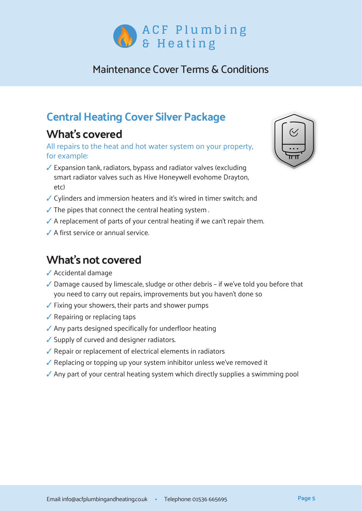

# **Central Heating Cover Silver Package**

# **What's covered**

All repairs to the heat and hot water system on your property, for example:

- $\checkmark$  Expansion tank, radiators, bypass and radiator valves (excluding smart radiator valves such as Hive Honeywell evohome Drayton, etc)
- $\checkmark$  Cylinders and immersion heaters and it's wired in timer switch; and
- $\checkmark$  The pipes that connect the central heating system .
- $\checkmark$  A replacement of parts of your central heating if we can't repair them.
- $\angle$  A first service or annual service.

# **What's not covered**

- $\checkmark$  Accidental damage
- $\checkmark$  Damage caused by limescale, sludge or other debris if we've told you before that you need to carry out repairs, improvements but you haven't done so
- $\checkmark$  Fixing your showers, their parts and shower pumps
- $\checkmark$  Repairing or replacing taps
- $\sqrt{\ }$  Any parts designed specifically for underfloor heating
- $\checkmark$  Supply of curved and designer radiators.
- $\sqrt{\ }$  Repair or replacement of electrical elements in radiators
- $\checkmark$  Replacing or topping up your system inhibitor unless we've removed it
- $\checkmark$  Any part of your central heating system which directly supplies a swimming pool

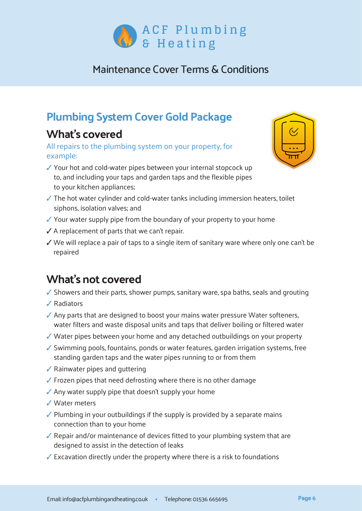

# **Plumbing System Cover Gold Package**

## **What's covered**

All repairs to the plumbing system on your property, for example:

- $\checkmark$  Your hot and cold-water pipes between your internal stopcock up to, and including your taps and garden taps and the flexible pipes to your kitchen appliances;
- $\checkmark$  The hot water cylinder and cold-water tanks including immersion heaters, toilet siphons, isolation valves; and
- $\checkmark$  Your water supply pipe from the boundary of your property to your home
- $\checkmark$  A replacement of parts that we can't repair.
- $\checkmark$  We will replace a pair of taps to a single item of sanitary ware where only one can't be repaired

# **What's not covered**

- $\checkmark$  Showers and their parts, shower pumps, sanitary ware, spa baths, seals and grouting
- $\sqrt{\phantom{a}}$  Radiators
- $\checkmark$  Any parts that are designed to boost your mains water pressure Water softeners, water filters and waste disposal units and taps that deliver boiling or filtered water
- $\checkmark$  Water pipes between your home and any detached outbuildings on your property
- $\checkmark$  Swimming pools, fountains, ponds or water features, garden irrigation systems, free standing garden taps and the water pipes running to or from them
- $\sqrt{\ }$  Rainwater pipes and guttering
- $\checkmark$  Frozen pipes that need defrosting where there is no other damage
- $\sqrt{\ }$  Any water supply pipe that doesn't supply your home
- $\sqrt{\phantom{a}}$  Water meters
- $\checkmark$  Plumbing in your outbuildings if the supply is provided by a separate mains connection than to your home
- $\checkmark$  Repair and/or maintenance of devices fitted to your plumbing system that are designed to assist in the detection of leaks
- $\sqrt{\ }$  Excavation directly under the property where there is a risk to foundations

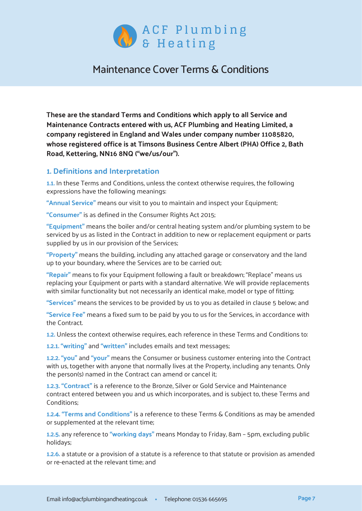

**These are the standard Terms and Conditions which apply to all Service and Maintenance Contracts entered with us, ACF Plumbing and Heating Limited, a company registered in England and Wales under company number 11085820, whose registered office is at Timsons Business Centre Albert (PHA) Office 2, Bath Road, Kettering, NN16 8NQ ("we/us/our").**

#### **1. Definitions and Interpretation**

**1.1.** In these Terms and Conditions, unless the context otherwise requires, the following expressions have the following meanings:

**"Annual Service"** means our visit to you to maintain and inspect your Equipment;

**"Consumer"** is as defined in the Consumer Rights Act 2015;

**"Equipment"** means the boiler and/or central heating system and/or plumbing system to be serviced by us as listed in the Contract in addition to new or replacement equipment or parts supplied by us in our provision of the Services;

**"Property"** means the building, including any attached garage or conservatory and the land up to your boundary, where the Services are to be carried out;

**"Repair"** means to fix your Equipment following a fault or breakdown; "Replace" means us replacing your Equipment or parts with a standard alternative. We will provide replacements with similar functionality but not necessarily an identical make, model or type of fitting;

**"Services"** means the services to be provided by us to you as detailed in clause 5 below; and

**"Service Fee"** means a fixed sum to be paid by you to us for the Services, in accordance with the Contract.

**1.2.** Unless the context otherwise requires, each reference in these Terms and Conditions to:

**1.2.1. "writing"** and **"written"** includes emails and text messages;

**1.2.2. "you"** and **"your"** means the Consumer or business customer entering into the Contract with us, together with anyone that normally lives at the Property, including any tenants. Only the person(s) named in the Contract can amend or cancel it;

**1.2.3. "Contract"** is a reference to the Bronze, Silver or Gold Service and Maintenance contract entered between you and us which incorporates, and is subject to, these Terms and Conditions;

**1.2.4. "Terms and Conditions"** is a reference to these Terms & Conditions as may be amended or supplemented at the relevant time;

**1.2.5.** any reference to **"working days"** means Monday to Friday, 8am – 5pm, excluding public holidays;

**1.2.6.** a statute or a provision of a statute is a reference to that statute or provision as amended or re-enacted at the relevant time; and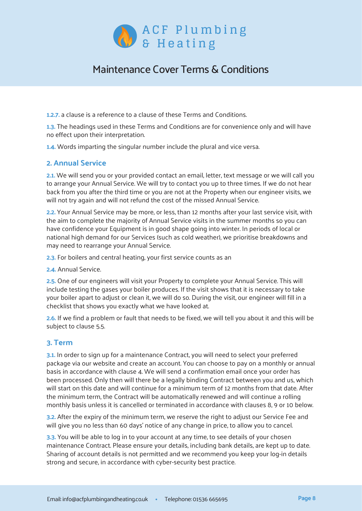

**1.2.7.** a clause is a reference to a clause of these Terms and Conditions.

**1.3.** The headings used in these Terms and Conditions are for convenience only and will have no effect upon their interpretation.

**1.4.** Words imparting the singular number include the plural and vice versa.

#### **2. Annual Service**

**2.1.** We will send you or your provided contact an email, letter, text message or we will call you to arrange your Annual Service. We will try to contact you up to three times. If we do not hear back from you after the third time or you are not at the Property when our engineer visits, we will not try again and will not refund the cost of the missed Annual Service.

**2.2.** Your Annual Service may be more, or less, than 12 months after your last service visit, with the aim to complete the majority of Annual Service visits in the summer months so you can have confidence your Equipment is in good shape going into winter. In periods of local or national high demand for our Services (such as cold weather), we prioritise breakdowns and may need to rearrange your Annual Service.

**2.3.** For boilers and central heating, your first service counts as an

**2.4.** Annual Service.

**2.5.** One of our engineers will visit your Property to complete your Annual Service. This will include testing the gases your boiler produces. If the visit shows that it is necessary to take your boiler apart to adjust or clean it, we will do so. During the visit, our engineer will fill in a checklist that shows you exactly what we have looked at.

**2.6.** If we find a problem or fault that needs to be fixed, we will tell you about it and this will be subject to clause 5.5.

#### **3. Term**

**3.1.** In order to sign up for a maintenance Contract, you will need to select your preferred package via our website and create an account. You can choose to pay on a monthly or annual basis in accordance with clause 4. We will send a confirmation email once your order has been processed. Only then will there be a legally binding Contract between you and us, which will start on this date and will continue for a minimum term of 12 months from that date. After the minimum term, the Contract will be automatically renewed and will continue a rolling monthly basis unless it is cancelled or terminated in accordance with clauses 8, 9 or 10 below.

**3.2.** After the expiry of the minimum term, we reserve the right to adjust our Service Fee and will give you no less than 60 days' notice of any change in price, to allow you to cancel.

**3.3.** You will be able to log in to your account at any time, to see details of your chosen maintenance Contract. Please ensure your details, including bank details, are kept up to date. Sharing of account details is not permitted and we recommend you keep your log-in details strong and secure, in accordance with cyber-security best practice.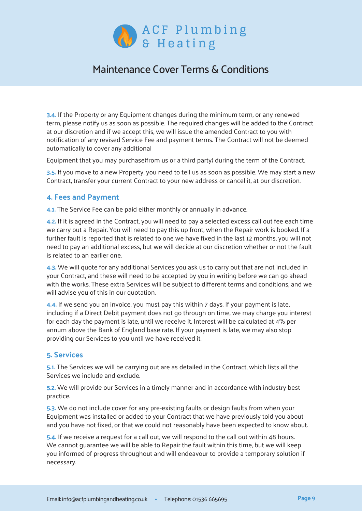

**3.4.** If the Property or any Equipment changes during the minimum term, or any renewed term, please notify us as soon as possible. The required changes will be added to the Contract at our discretion and if we accept this, we will issue the amended Contract to you with notification of any revised Service Fee and payment terms. The Contract will not be deemed automatically to cover any additional

Equipment that you may purchase(from us or a third party) during the term of the Contract.

**3.5.** If you move to a new Property, you need to tell us as soon as possible. We may start a new Contract, transfer your current Contract to your new address or cancel it, at our discretion.

#### **4. Fees and Payment**

**4.1.** The Service Fee can be paid either monthly or annually in advance.

**4.2.** If it is agreed in the Contract, you will need to pay a selected excess call out fee each time we carry out a Repair. You will need to pay this up front, when the Repair work is booked. If a further fault is reported that is related to one we have fixed in the last 12 months, you will not need to pay an additional excess, but we will decide at our discretion whether or not the fault is related to an earlier one.

**4.3.** We will quote for any additional Services you ask us to carry out that are not included in your Contract, and these will need to be accepted by you in writing before we can go ahead with the works. These extra Services will be subject to different terms and conditions, and we will advise you of this in our quotation.

**4.4.** If we send you an invoice, you must pay this within 7 days. If your payment is late, including if a Direct Debit payment does not go through on time, we may charge you interest for each day the payment is late, until we receive it. Interest will be calculated at 4% per annum above the Bank of England base rate. If your payment is late, we may also stop providing our Services to you until we have received it.

#### **5. Services**

**5.1.** The Services we will be carrying out are as detailed in the Contract, which lists all the Services we include and exclude.

**5.2.** We will provide our Services in a timely manner and in accordance with industry best practice.

**5.3.** We do not include cover for any pre-existing faults or design faults from when your Equipment was installed or added to your Contract that we have previously told you about and you have not fixed, or that we could not reasonably have been expected to know about.

**5.4.** If we receive a request for a call out, we will respond to the call out within 48 hours. We cannot guarantee we will be able to Repair the fault within this time, but we will keep you informed of progress throughout and will endeavour to provide a temporary solution if necessary.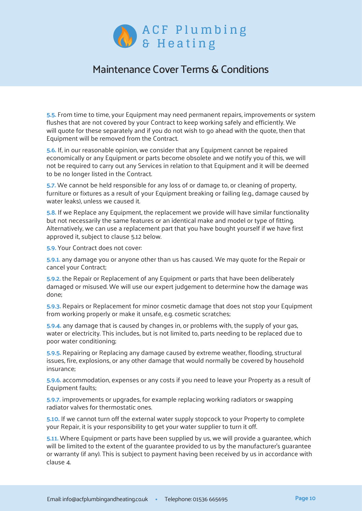

**5.5.** From time to time, your Equipment may need permanent repairs, improvements or system flushes that are not covered by your Contract to keep working safely and efficiently. We will quote for these separately and if you do not wish to go ahead with the quote, then that Equipment will be removed from the Contract.

**5.6.** If, in our reasonable opinion, we consider that any Equipment cannot be repaired economically or any Equipment or parts become obsolete and we notify you of this, we will not be required to carry out any Services in relation to that Equipment and it will be deemed to be no longer listed in the Contract.

**5.7.** We cannot be held responsible for any loss of or damage to, or cleaning of property, furniture or fixtures as a result of your Equipment breaking or failing (e.g., damage caused by water leaks), unless we caused it.

**5.8.** If we Replace any Equipment, the replacement we provide will have similar functionality but not necessarily the same features or an identical make and model or type of fitting. Alternatively, we can use a replacement part that you have bought yourself if we have first approved it, subject to clause 5.12 below.

**5.9.** Your Contract does not cover:

**5.9.1.** any damage you or anyone other than us has caused. We may quote for the Repair or cancel your Contract;

**5.9.2.** the Repair or Replacement of any Equipment or parts that have been deliberately damaged or misused. We will use our expert judgement to determine how the damage was done;

**5.9.3.** Repairs or Replacement for minor cosmetic damage that does not stop your Equipment from working properly or make it unsafe, e.g. cosmetic scratches;

**5.9.4.** any damage that is caused by changes in, or problems with, the supply of your gas, water or electricity. This includes, but is not limited to, parts needing to be replaced due to poor water conditioning;

**5.9.5.** Repairing or Replacing any damage caused by extreme weather, flooding, structural issues, fire, explosions, or any other damage that would normally be covered by household insurance;

**5.9.6.** accommodation, expenses or any costs if you need to leave your Property as a result of Equipment faults;

**5.9.7.** improvements or upgrades, for example replacing working radiators or swapping radiator valves for thermostatic ones.

**5.10.** If we cannot turn off the external water supply stopcock to your Property to complete your Repair, it is your responsibility to get your water supplier to turn it off.

**5.11.** Where Equipment or parts have been supplied by us, we will provide a guarantee, which will be limited to the extent of the guarantee provided to us by the manufacturer's guarantee or warranty (if any). This is subject to payment having been received by us in accordance with clause 4.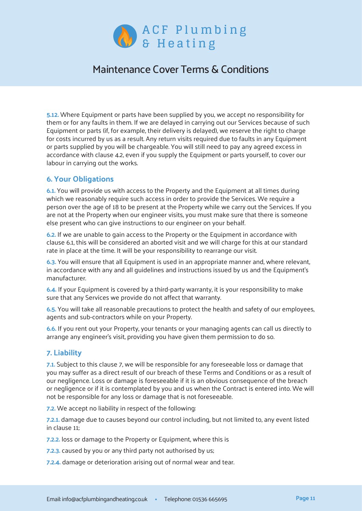

**5.12.** Where Equipment or parts have been supplied by you, we accept no responsibility for them or for any faults in them. If we are delayed in carrying out our Services because of such Equipment or parts (if, for example, their delivery is delayed), we reserve the right to charge for costs incurred by us as a result. Any return visits required due to faults in any Equipment or parts supplied by you will be chargeable. You will still need to pay any agreed excess in accordance with clause 4.2, even if you supply the Equipment or parts yourself, to cover our labour in carrying out the works.

#### **6. Your Obligations**

**6.1.** You will provide us with access to the Property and the Equipment at all times during which we reasonably require such access in order to provide the Services. We require a person over the age of 18 to be present at the Property while we carry out the Services. If you are not at the Property when our engineer visits, you must make sure that there is someone else present who can give instructions to our engineer on your behalf.

**6.2.** If we are unable to gain access to the Property or the Equipment in accordance with clause 6.1, this will be considered an aborted visit and we will charge for this at our standard rate in place at the time. It will be your responsibility to rearrange our visit.

**6.3.** You will ensure that all Equipment is used in an appropriate manner and, where relevant, in accordance with any and all guidelines and instructions issued by us and the Equipment's manufacturer.

**6.4.** If your Equipment is covered by a third-party warranty, it is your responsibility to make sure that any Services we provide do not affect that warranty.

**6.5.** You will take all reasonable precautions to protect the health and safety of our employees, agents and sub-contractors while on your Property.

**6.6.** If you rent out your Property, your tenants or your managing agents can call us directly to arrange any engineer's visit, providing you have given them permission to do so.

#### **7. Liability**

**7.1.** Subject to this clause 7, we will be responsible for any foreseeable loss or damage that you may suffer as a direct result of our breach of these Terms and Conditions or as a result of our negligence. Loss or damage is foreseeable if it is an obvious consequence of the breach or negligence or if it is contemplated by you and us when the Contract is entered into. We will not be responsible for any loss or damage that is not foreseeable.

**7.2.** We accept no liability in respect of the following:

**7.2.1.** damage due to causes beyond our control including, but not limited to, any event listed in clause 11;

**7.2.2.** loss or damage to the Property or Equipment, where this is

**7.2.3.** caused by you or any third party not authorised by us;

**7.2.4.** damage or deterioration arising out of normal wear and tear.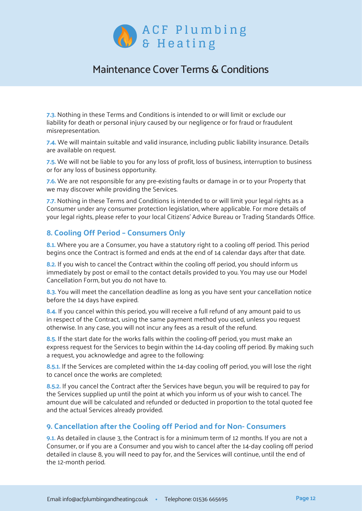

**7.3.** Nothing in these Terms and Conditions is intended to or will limit or exclude our liability for death or personal injury caused by our negligence or for fraud or fraudulent misrepresentation.

**7.4.** We will maintain suitable and valid insurance, including public liability insurance. Details are available on request.

**7.5.** We will not be liable to you for any loss of profit, loss of business, interruption to business or for any loss of business opportunity.

**7.6.** We are not responsible for any pre-existing faults or damage in or to your Property that we may discover while providing the Services.

**7.7.** Nothing in these Terms and Conditions is intended to or will limit your legal rights as a Consumer under any consumer protection legislation, where applicable. For more details of your legal rights, please refer to your local Citizens' Advice Bureau or Trading Standards Office.

#### **8. Cooling Off Period – Consumers Only**

**8.1.** Where you are a Consumer, you have a statutory right to a cooling off period. This period begins once the Contract is formed and ends at the end of 14 calendar days after that date.

8.2. If you wish to cancel the Contract within the cooling off period, you should inform us immediately by post or email to the contact details provided to you. You may use our Model Cancellation Form, but you do not have to.

**8.3.** You will meet the cancellation deadline as long as you have sent your cancellation notice before the 14 days have expired.

**8.4.** If you cancel within this period, you will receive a full refund of any amount paid to us in respect of the Contract, using the same payment method you used, unless you request otherwise. In any case, you will not incur any fees as a result of the refund.

**8.5.** If the start date for the works falls within the cooling-off period, you must make an express request for the Services to begin within the 14-day cooling off period. By making such a request, you acknowledge and agree to the following:

**8.5.1.** If the Services are completed within the 14-day cooling off period, you will lose the right to cancel once the works are completed;

**8.5.2.** If you cancel the Contract after the Services have begun, you will be required to pay for the Services supplied up until the point at which you inform us of your wish to cancel. The amount due will be calculated and refunded or deducted in proportion to the total quoted fee and the actual Services already provided.

#### **9. Cancellation after the Cooling off Period and for Non- Consumers**

**9.1.** As detailed in clause 3, the Contract is for a minimum term of 12 months. If you are not a Consumer, or if you are a Consumer and you wish to cancel after the 14-day cooling off period detailed in clause 8, you will need to pay for, and the Services will continue, until the end of the 12-month period.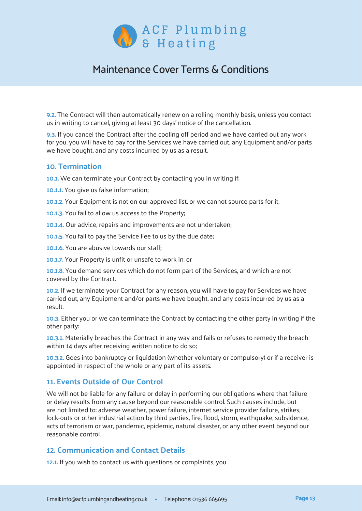

**9.2.** The Contract will then automatically renew on a rolling monthly basis, unless you contact us in writing to cancel, giving at least 30 days' notice of the cancellation.

**9.3.** If you cancel the Contract after the cooling off period and we have carried out any work for you, you will have to pay for the Services we have carried out, any Equipment and/or parts we have bought, and any costs incurred by us as a result.

#### **10. Termination**

**10.1.** We can terminate your Contract by contacting you in writing if:

- **10.1.1.** You give us false information;
- **10.1.2.** Your Equipment is not on our approved list, or we cannot source parts for it;
- **10.1.3.** You fail to allow us access to the Property;
- **10.1.4.** Our advice, repairs and improvements are not undertaken;
- **10.1.5.** You fail to pay the Service Fee to us by the due date;
- **10.1.6.** You are abusive towards our staff;
- **10.1.7.** Your Property is unfit or unsafe to work in; or

**10.1.8.** You demand services which do not form part of the Services, and which are not covered by the Contract.

**10.2.** If we terminate your Contract for any reason, you will have to pay for Services we have carried out, any Equipment and/or parts we have bought, and any costs incurred by us as a result.

**10.3.** Either you or we can terminate the Contract by contacting the other party in writing if the other party:

**10.3.1.** Materially breaches the Contract in any way and fails or refuses to remedy the breach within 14 days after receiving written notice to do so;

**10.3.2.** Goes into bankruptcy or liquidation (whether voluntary or compulsory) or if a receiver is appointed in respect of the whole or any part of its assets.

#### **11. Events Outside of Our Control**

We will not be liable for any failure or delay in performing our obligations where that failure or delay results from any cause beyond our reasonable control. Such causes include, but are not limited to: adverse weather, power failure, internet service provider failure, strikes, lock-outs or other industrial action by third parties, fire, flood, storm, earthquake, subsidence, acts of terrorism or war, pandemic, epidemic, natural disaster, or any other event beyond our reasonable control.

#### **12. Communication and Contact Details**

**12.1.** If you wish to contact us with questions or complaints, you